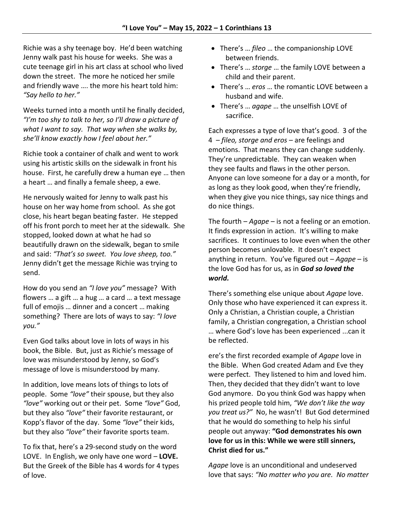Richie was a shy teenage boy. He'd been watching Jenny walk past his house for weeks. She was a cute teenage girl in his art class at school who lived down the street. The more he noticed her smile and friendly wave …. the more his heart told him: *"Say hello to her."*

Weeks turned into a month until he finally decided, *"I'm too shy to talk to her, so I'll draw a picture of what I want to say. That way when she walks by, she'll know exactly how I feel about her."*

Richie took a container of chalk and went to work using his artistic skills on the sidewalk in front his house. First, he carefully drew a human eye … then a heart … and finally a female sheep, a ewe.

He nervously waited for Jenny to walk past his house on her way home from school. As she got close, his heart began beating faster. He stepped off his front porch to meet her at the sidewalk. She stopped, looked down at what he had so beautifully drawn on the sidewalk, began to smile and said: *"That's so sweet. You love sheep, too."*  Jenny didn't get the message Richie was trying to send.

How do you send an *"I love you"* message? With flowers … a gift … a hug … a card … a text message full of emojis … dinner and a concert … making something? There are lots of ways to say: *"I love you."*

Even God talks about love in lots of ways in his book, the Bible. But, just as Richie's message of love was misunderstood by Jenny, so God's message of love is misunderstood by many.

In addition, love means lots of things to lots of people. Some *"love"* their spouse, but they also *"love"* working out or their pet. Some *"love"* God, but they also *"love"* their favorite restaurant, or Kopp's flavor of the day. Some *"love"* their kids, but they also *"love"* their favorite sports team.

To fix that, here's a 29-second study on the word LOVE. In English, we only have one word – **LOVE.** But the Greek of the Bible has 4 words for 4 types of love.

- There's … *fileo* … the companionship LOVE between friends.
- There's … *storge* … the family LOVE between a child and their parent.
- There's … *eros* … the romantic LOVE between a husband and wife.
- There's … *agape* … the unselfish LOVE of sacrifice.

Each expresses a type of love that's good. 3 of the 4 – *fileo, storge and eros* – are feelings and emotions. That means they can change suddenly. They're unpredictable. They can weaken when they see faults and flaws in the other person. Anyone can love someone for a day or a month, for as long as they look good, when they're friendly, when they give you nice things, say nice things and do nice things.

The fourth – *Agape* – is not a feeling or an emotion. It finds expression in action. It's willing to make sacrifices. It continues to love even when the other person becomes unlovable. It doesn't expect anything in return. You've figured out – *Agape* – is the love God has for us, as in *God so loved the world.*

There's something else unique about *Agape* love. Only those who have experienced it can express it. Only a Christian, a Christian couple, a Christian family, a Christian congregation, a Christian school … where God's love has been experienced ...can it be reflected.

ere's the first recorded example of *Agape* love in the Bible. When God created Adam and Eve they were perfect. They listened to him and loved him. Then, they decided that they didn't want to love God anymore. Do you think God was happy when his prized people told him, *"We don't like the way you treat us?"* No, he wasn't! But God determined that he would do something to help his sinful people out anyway: **"God demonstrates his own love for us in this: While we were still sinners, Christ died for us."**

*Agape* love is an unconditional and undeserved love that says: *"No matter who you are. No matter*